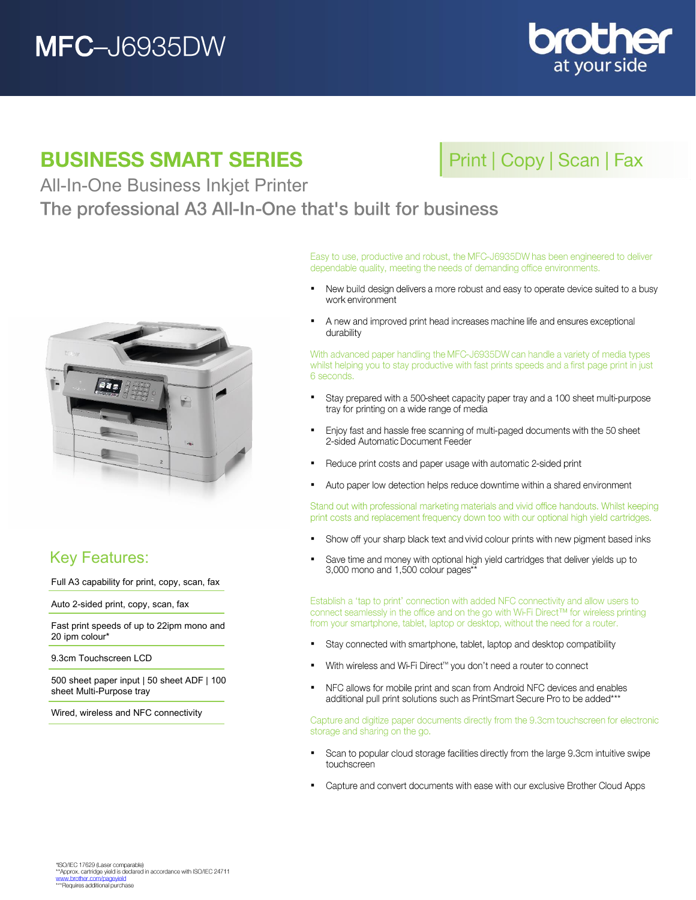# **MFC-J6935DW**



## **BUSINESS SMART SERIES**

## Print | Copy | Scan | Fax

All-In-One Business Inkjet Printer

The professional A3 All-In-One that's built for business



## Key Features:

Full A3 capability for print, copy, scan, fax

Auto 2-sided print, copy, scan, fax

Fast print speeds of up to 22ipm mono and 20 ipm colour\*

9.3cm Touchscreen LCD

500 sheet paper input | 50 sheet ADF | 100 sheet Multi-Purpose tray

Wired, wireless and NFC connectivity

Easy to use, productive and robust, the MFC-J6935DW has been engineered to deliver dependable quality, meeting the needs of demanding office environments.

- New build design delivers a more robust and easy to operate device suited to a busy . work environment
- A new and improved print head increases machine life and ensures exceptional . durability

With advanced paper handling the MFC-J6935DW can handle a variety of media types whilst helping you to stay productive with fast prints speeds and a first page print in just 6 seconds.

- $\blacksquare$ Stay prepared with a 500-sheet capacity paper tray and a 100 sheet multi-purpose tray for printing on a wide range of media
- Enjoy fast and hassle free scanning of multi-paged documents with the 50 sheet  $\blacksquare$ 2-sided Automatic Document Feeder
- Reduce print costs and paper usage with automatic 2-sided print  $\blacksquare$
- $\blacksquare$ Auto paper low detection helps reduce downtime within a shared environment

Stand out with professional marketing materials and vivid office handouts. Whilst keeping print costs and replacement frequency down too with our optional high yield cartridges.

- . Show off your sharp black text and vivid colour prints with new pigment based inks
- Save time and money with optional high yield cartridges that deliver yields up to  $\blacksquare$ 3,000 mono and 1,500 colour pages\*

Establish a 'tap to print' connection with added NFC connectivity and allow users to connect seamlessly in the office and on the go with Wi-Fi Direct™ for wireless printing from your smartphone, tablet, laptop or desktop, without the need for a router.

- Stay connected with smartphone, tablet, laptop and desktop compatibility  $\blacksquare$
- With wireless and Wi-Fi Direct™ you don't need a router to connect  $\blacksquare$
- j, NFC allows for mobile print and scan from Android NFC devices and enables additional pull print solutions such as PrintSmart Secure Pro to be added\*\*\*

Capture and digitize paper documents directly from the 9.3cm touchscreen for electronic storage and sharing on the go.

- Scan to popular cloud storage facilities directly from the large 9.3cm intuitive swipe . touchscreen
- Capture and convert documents with ease with our exclusive Brother Cloud Apps  $\blacksquare$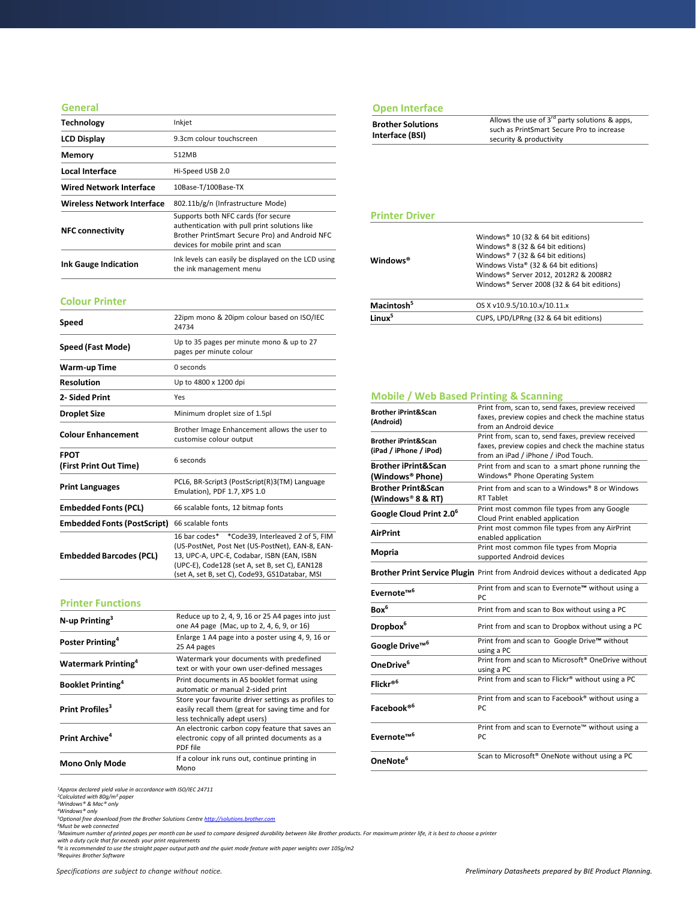### **General**

| <b>Technology</b>                 | Inkjet                                                                                                                                                                      |
|-----------------------------------|-----------------------------------------------------------------------------------------------------------------------------------------------------------------------------|
| <b>LCD Display</b>                | 9.3cm colour touchscreen                                                                                                                                                    |
| <b>Memory</b>                     | 512MB                                                                                                                                                                       |
| Local Interface                   | Hi-Speed USB 2.0                                                                                                                                                            |
| <b>Wired Network Interface</b>    | 10Base-T/100Base-TX                                                                                                                                                         |
| <b>Wireless Network Interface</b> | 802.11b/g/n (Infrastructure Mode)                                                                                                                                           |
| <b>NFC connectivity</b>           | Supports both NFC cards (for secure<br>authentication with pull print solutions like<br>Brother PrintSmart Secure Pro) and Android NFC<br>devices for mobile print and scan |
| <b>Ink Gauge Indication</b>       | Ink levels can easily be displayed on the LCD using<br>the ink management menu                                                                                              |

### **Colour Printer**

| Speed                                 | 22ipm mono & 20ipm colour based on ISO/IEC<br>24734                                                                                                                                                                                                 |
|---------------------------------------|-----------------------------------------------------------------------------------------------------------------------------------------------------------------------------------------------------------------------------------------------------|
| Speed (Fast Mode)                     | Up to 35 pages per minute mono & up to 27<br>pages per minute colour                                                                                                                                                                                |
| Warm-up Time                          | 0 seconds                                                                                                                                                                                                                                           |
| <b>Resolution</b>                     | Up to 4800 x 1200 dpi                                                                                                                                                                                                                               |
| 2- Sided Print                        | Yes                                                                                                                                                                                                                                                 |
| <b>Droplet Size</b>                   | Minimum droplet size of 1.5pl                                                                                                                                                                                                                       |
| <b>Colour Enhancement</b>             | Brother Image Enhancement allows the user to<br>customise colour output                                                                                                                                                                             |
| <b>FPOT</b><br>(First Print Out Time) | 6 seconds                                                                                                                                                                                                                                           |
| <b>Print Languages</b>                | PCL6, BR-Script3 (PostScript(R)3(TM) Language<br>Emulation), PDF 1.7, XPS 1.0                                                                                                                                                                       |
| <b>Embedded Fonts (PCL)</b>           | 66 scalable fonts, 12 bitmap fonts                                                                                                                                                                                                                  |
| <b>Embedded Fonts (PostScript)</b>    | 66 scalable fonts                                                                                                                                                                                                                                   |
| <b>Embedded Barcodes (PCL)</b>        | 16 bar codes* *Code39, Interleaved 2 of 5, FIM<br>(US-PostNet, Post Net (US-PostNet), EAN-8, EAN-<br>13, UPC-A, UPC-E, Codabar, ISBN (EAN, ISBN<br>(UPC-E), Code128 (set A, set B, set C), EAN128<br>(set A, set B, set C), Code93, GS1Databar, MSI |

### **Printer Functions**

| $N$ -up Printing <sup>3</sup>          | Reduce up to 2, 4, 9, 16 or 25 A4 pages into just<br>one A4 page (Mac, up to 2, 4, 6, 9, or 16)                                           |
|----------------------------------------|-------------------------------------------------------------------------------------------------------------------------------------------|
| Poster Printing <sup>4</sup>           | Enlarge 1 A4 page into a poster using 4, 9, 16 or<br>25 A4 pages                                                                          |
| <b>Watermark Printing</b> <sup>4</sup> | Watermark your documents with predefined<br>text or with your own user-defined messages                                                   |
| <b>Booklet Printing</b> <sup>4</sup>   | Print documents in A5 booklet format using<br>automatic or manual 2-sided print                                                           |
| Print Profiles <sup>3</sup>            | Store your favourite driver settings as profiles to<br>easily recall them (great for saving time and for<br>less technically adept users) |
| Print Archive <sup>4</sup>             | An electronic carbon copy feature that saves an<br>electronic copy of all printed documents as a<br>PDF file                              |
| <b>Mono Only Mode</b>                  | If a colour ink runs out, continue printing in<br>Mono                                                                                    |

### **Open Interface**

### **Printer Driver**

| Windows <sup>®</sup>   | Windows® 10 (32 & 64 bit editions)<br>Windows® 8 (32 & 64 bit editions)<br>Windows® 7 (32 & 64 bit editions)<br>Windows Vista® (32 & 64 bit editions)<br>Windows® Server 2012, 2012R2 & 2008R2<br>Windows® Server 2008 (32 & 64 bit editions) |
|------------------------|-----------------------------------------------------------------------------------------------------------------------------------------------------------------------------------------------------------------------------------------------|
| Macintosh <sup>5</sup> | OS X v10.9.5/10.10.x/10.11.x                                                                                                                                                                                                                  |
| l inuv <sup>5</sup>    | CUPS, LPD/LPRng (32 & 64 bit editions)                                                                                                                                                                                                        |

### **Mobile / Web Based Printing & Scanning Brother iPrint&Scan (Android)** Print from, scan to, send faxes, preview received faxes, preview copies and check the machine status from an Android device **Brother iPrint&Scan (iPad / iPhone / iPod)** Print from, scan to, send faxes, preview received faxes, preview copies and check the machine status from an iPad / iPhone / iPod Touch. **Brother iPrint&Scan (Windows® Phone)**  Print from and scan to a smart phone running the Windows® Phone Operating System **Brother Print&Scan (Windows**® **8 & RT)** Print from and scan to a Windows® 8 or Windows RT Tablet **Google Cloud Print 2.0<sup>6</sup>** Print most common file types from any Google Cloud Print enabled application **AirPrint** Print most common file types from any AirPrint enabled application **Mopria** Print most common file types from Mopria<br> **Mopria** expressed Andreid devices supported Android devices **Brother Print Service Plugin** Print from Android devices without a dedicated App **Evernote™<sup>6</sup>** Print from and scan to Evernote**™** without using a PC **Box<sup>6</sup>** Print from and scan to Box without using a PC **Dropbox<sup>6</sup>** Print from and scan to Dropbox without using a PC **Google Drive™<sup>6</sup>** Print from and scan to Google Drive**™** without using a PC **OneDrive**<sup>6</sup> Print from and scan to Microsoft<sup>®</sup> OneDrive without using a PC **Flickr® <sup>6</sup>** Print from and scan to Flickr® without using a PC **Facebook® 6** Print from and scan to Facebook® without using a PC **Evernote™<sup>6</sup>** Print from and scan to Evernote™ without using a PC **OneNote<sup>6</sup>** Scan to Microsoft® OneNote without using a PC

*<sup>1</sup>Approx declared yield value in accordance with ISO/IEC 24711*

*<sup>2</sup>Calculated with 80g/m² paper <sup>3</sup>Windows® & Mac® only*

*<sup>4</sup>Windows® only*

*<sup>5</sup>Optional free download from the Brother Solutions Centre [http://solutions.brother.com](http://solutions.brother.com/)*

*<sup>6</sup>Must be web connected*

*<sup>7</sup>Maximum number of printed pages per month can be used to compare designed durability between like Brother products. For maximum printer life, it is best to choose a printer* 

*with a duty cycle that far exceeds your print requirements*

*8 It is recommended to use the straight paper output path and the quiet mode feature with paper weights over 105g/m2 <sup>9</sup>Requires Brother Software*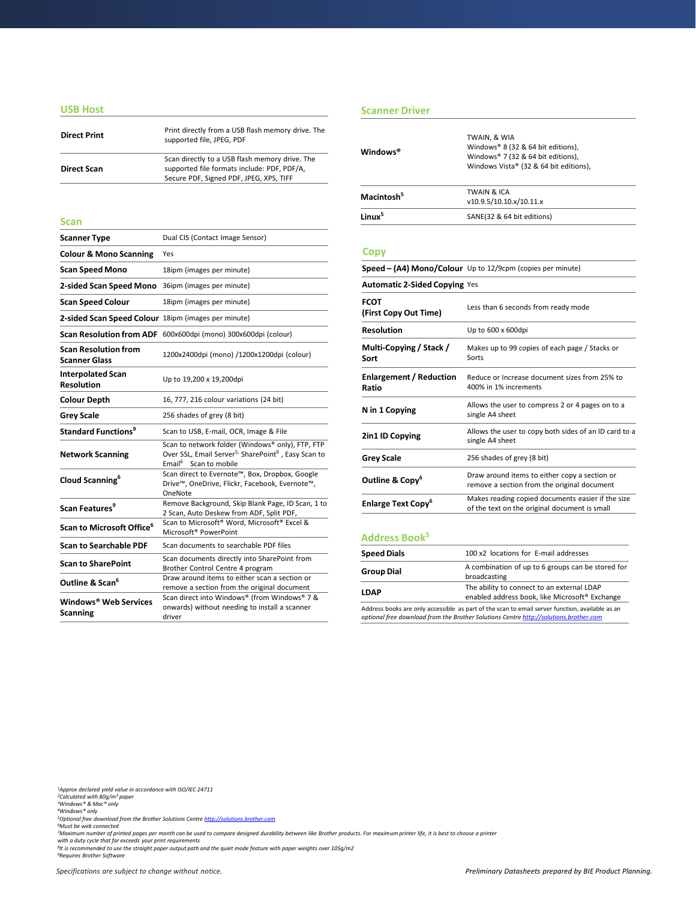### **USB Host**

| <b>Direct Print</b> | Print directly from a USB flash memory drive. The<br>supported file, JPEG, PDF                                                           |
|---------------------|------------------------------------------------------------------------------------------------------------------------------------------|
| <b>Direct Scan</b>  | Scan directly to a USB flash memory drive. The<br>supported file formats include: PDF, PDF/A,<br>Secure PDF, Signed PDF, JPEG, XPS, TIFF |

| <b>Scanner Type</b>                                 | Dual CIS (Contact Image Sensor)                                                                                                                                      |  |
|-----------------------------------------------------|----------------------------------------------------------------------------------------------------------------------------------------------------------------------|--|
| <b>Colour &amp; Mono Scanning</b>                   | Yes                                                                                                                                                                  |  |
| <b>Scan Speed Mono</b>                              | 18ipm (images per minute)                                                                                                                                            |  |
| 2-sided Scan Speed Mono                             | 36ipm (images per minute)                                                                                                                                            |  |
| <b>Scan Speed Colour</b>                            | 18ipm (images per minute)                                                                                                                                            |  |
| 2-sided Scan Speed Colour 18ipm (images per minute) |                                                                                                                                                                      |  |
|                                                     | Scan Resolution from ADF 600x600dpi (mono) 300x600dpi (colour)                                                                                                       |  |
| <b>Scan Resolution from</b><br><b>Scanner Glass</b> | 1200x2400dpi (mono) /1200x1200dpi (colour)                                                                                                                           |  |
| <b>Interpolated Scan</b><br><b>Resolution</b>       | Up to 19,200 x 19,200dpi                                                                                                                                             |  |
| <b>Colour Depth</b>                                 | 16, 777, 216 colour variations (24 bit)                                                                                                                              |  |
| <b>Grey Scale</b>                                   | 256 shades of grey (8 bit)                                                                                                                                           |  |
| <b>Standard Functions<sup>9</sup></b>               | Scan to USB, E-mail, OCR, Image & File                                                                                                                               |  |
| <b>Network Scanning</b>                             | Scan to network folder (Windows® only), FTP, FTP<br>Over SSL, Email Server <sup>5,</sup> SharePoint <sup>9</sup> , Easy Scan to<br>Email <sup>6</sup> Scan to mobile |  |
| Cloud Scanning <sup>6</sup>                         | Scan direct to Evernote™, Box, Dropbox, Google<br>Drive™, OneDrive, Flickr, Facebook, Evernote™,<br>OneNote                                                          |  |
| Scan Features <sup>9</sup>                          | Remove Background, Skip Blank Page, ID Scan, 1 to<br>2 Scan, Auto Deskew from ADF, Split PDF,                                                                        |  |
| Scan to Microsoft Office <sup>6</sup>               | Scan to Microsoft® Word, Microsoft® Excel &<br>Microsoft <sup>®</sup> PowerPoint                                                                                     |  |
| <b>Scan to Searchable PDF</b>                       | Scan documents to searchable PDF files                                                                                                                               |  |
| <b>Scan to SharePoint</b>                           | Scan documents directly into SharePoint from<br>Brother Control Centre 4 program                                                                                     |  |
| Outline & Scan <sup>6</sup>                         | Draw around items to either scan a section or<br>remove a section from the original document                                                                         |  |
| Windows® Web Services<br><b>Scanning</b>            | Scan direct into Windows® (from Windows® 7 &<br>onwards) without needing to install a scanner<br>driver                                                              |  |

### **Scanner Driver**

| <b>Direct Print</b>                                 | Print directly from a USB flash memory drive. The<br>supported file, JPEG, PDF                                                                                       | Windows <sup>®</sup>                    | TWAIN, & WIA<br>Windows® 8 (32 & 64 bit editions),                                                 |  |
|-----------------------------------------------------|----------------------------------------------------------------------------------------------------------------------------------------------------------------------|-----------------------------------------|----------------------------------------------------------------------------------------------------|--|
| <b>Direct Scan</b>                                  | Scan directly to a USB flash memory drive. The<br>supported file formats include: PDF, PDF/A,<br>Secure PDF, Signed PDF, JPEG, XPS, TIFF                             |                                         | Windows® 7 (32 & 64 bit editions),<br>Windows Vista® (32 & 64 bit editions),                       |  |
|                                                     |                                                                                                                                                                      | Macintosh <sup>5</sup>                  | <b>TWAIN &amp; ICA</b><br>v10.9.5/10.10.x/10.11.x                                                  |  |
| Scan                                                |                                                                                                                                                                      | Linux <sup>5</sup>                      | SANE(32 & 64 bit editions)                                                                         |  |
| Scanner Type                                        | Dual CIS (Contact Image Sensor)                                                                                                                                      |                                         |                                                                                                    |  |
| <b>Colour &amp; Mono Scanning</b>                   | Yes                                                                                                                                                                  | <b>Copy</b>                             |                                                                                                    |  |
| Scan Speed Mono                                     | 18ipm (images per minute)                                                                                                                                            |                                         | Speed - (A4) Mono/Colour Up to 12/9cpm (copies per minute)                                         |  |
| 2-sided Scan Speed Mono 36ipm (images per minute)   |                                                                                                                                                                      | <b>Automatic 2-Sided Copying Yes</b>    |                                                                                                    |  |
| Scan Speed Colour                                   | 18ipm (images per minute)                                                                                                                                            | <b>FCOT</b>                             | Less than 6 seconds from ready mode                                                                |  |
| 2-sided Scan Speed Colour 18ipm (images per minute) |                                                                                                                                                                      | (First Copy Out Time)                   |                                                                                                    |  |
|                                                     | Scan Resolution from ADF 600x600dpi (mono) 300x600dpi (colour)                                                                                                       | <b>Resolution</b>                       | Up to 600 x 600dpi                                                                                 |  |
| Scan Resolution from<br>Scanner Glass               | 1200x2400dpi (mono) /1200x1200dpi (colour)                                                                                                                           | Multi-Copying / Stack /<br>Sort         | Makes up to 99 copies of each page / Stacks or<br>Sorts                                            |  |
| Interpolated Scan<br>Resolution                     | Up to 19,200 x 19,200dpi                                                                                                                                             | <b>Enlargement / Reduction</b><br>Ratio | Reduce or Increase document sizes from 25% to<br>400% in 1% increments                             |  |
| Colour Depth                                        | 16, 777, 216 colour variations (24 bit)                                                                                                                              |                                         | Allows the user to compress 2 or 4 pages on to a                                                   |  |
| Grey Scale                                          | 256 shades of grey (8 bit)                                                                                                                                           | N in 1 Copying                          | single A4 sheet                                                                                    |  |
| Standard Functions <sup>9</sup>                     | Scan to USB, E-mail, OCR, Image & File                                                                                                                               | 2in1 ID Copying                         | Allows the user to copy both sides of an ID card to a                                              |  |
| <b>Network Scanning</b>                             | Scan to network folder (Windows® only), FTP, FTP<br>Over SSL, Email Server <sup>5,</sup> SharePoint <sup>9</sup> , Easy Scan to<br>Email <sup>6</sup> Scan to mobile | <b>Grey Scale</b>                       | single A4 sheet<br>256 shades of grey (8 bit)                                                      |  |
| Cloud Scanning <sup>6</sup>                         | Scan direct to Evernote™, Box, Dropbox, Google<br>Drive™, OneDrive, Flickr, Facebook, Evernote™,<br>OneNote                                                          | Outline & Copy <sup>6</sup>             | Draw around items to either copy a section or<br>remove a section from the original document       |  |
| Scan Features <sup>9</sup>                          | Remove Background, Skip Blank Page, ID Scan, 1 to<br>3 Coop Auto Deckeurfrom ADE Calit DDE                                                                           | <b>Enlarge Text Copy<sup>6</sup></b>    | Makes reading copied documents easier if the size<br>of the text on the original document is small |  |

### **Address Book<sup>5</sup>**

| <b>Speed Dials</b> | 100 x2 locations for E-mail addresses                                                                                                                                                    |
|--------------------|------------------------------------------------------------------------------------------------------------------------------------------------------------------------------------------|
| <b>Group Dial</b>  | A combination of up to 6 groups can be stored for<br>broadcasting                                                                                                                        |
| LDAP               | The ability to connect to an external LDAP<br>enabled address book, like Microsoft® Exchange                                                                                             |
|                    | Address books are only accessible as part of the scan to email server function, available as an<br>optional free download from the Brother Solutions Centre http://solutions.brother.com |

*<sup>1</sup>Approx declared yield value in accordance with ISO/IEC 24711 <sup>2</sup>Calculated with 80g/m² paper <sup>3</sup>Windows® & Mac® only*

<sup>4</sup>Windows® only<br><sup>5</sup>Optional free download from the Brother Solutions Centre <u>[http://solutions.brother.com](http://solutions.brother.com/)</u><br><sup>5</sup>Must be web connected<br><sup>7</sup>Maximum number of printed pages per month can be used to compare designed durability b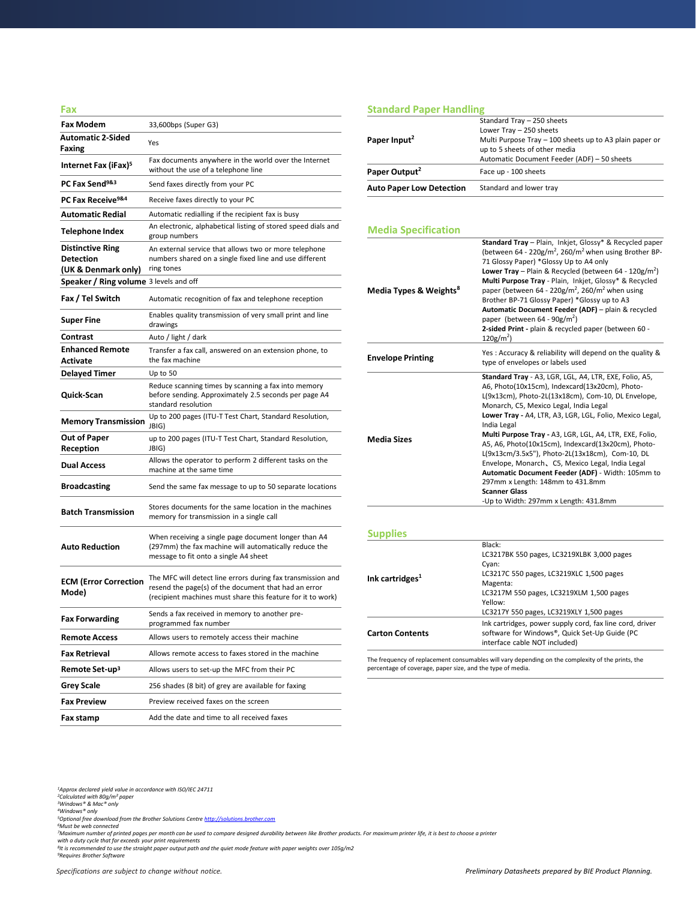| Fax                                           |                                                                                                                                                                                    |
|-----------------------------------------------|------------------------------------------------------------------------------------------------------------------------------------------------------------------------------------|
| <b>Fax Modem</b>                              | 33,600bps (Super G3)                                                                                                                                                               |
| <b>Automatic 2-Sided</b><br>Faxing            | Yes                                                                                                                                                                                |
| Internet Fax (iFax) <sup>5</sup>              | Fax documents anywhere in the world over the Internet<br>without the use of a telephone line                                                                                       |
| PC Fax Send <sup>9&amp;3</sup>                | Send faxes directly from your PC                                                                                                                                                   |
| PC Fax Receive <sup>9&amp;4</sup>             | Receive faxes directly to your PC                                                                                                                                                  |
| <b>Automatic Redial</b>                       | Automatic redialling if the recipient fax is busy                                                                                                                                  |
| Telephone Index                               | An electronic, alphabetical listing of stored speed dials and<br>group numbers                                                                                                     |
| <b>Distinctive Ring</b><br><b>Detection</b>   | An external service that allows two or more telephone<br>numbers shared on a single fixed line and use different                                                                   |
| (UK & Denmark only)                           | ring tones                                                                                                                                                                         |
| <b>Speaker / Ring volume</b> 3 levels and off |                                                                                                                                                                                    |
| Fax / Tel Switch                              | Automatic recognition of fax and telephone reception                                                                                                                               |
| <b>Super Fine</b>                             | Enables quality transmission of very small print and line<br>drawings                                                                                                              |
| Contrast                                      | Auto / light / dark                                                                                                                                                                |
| <b>Enhanced Remote</b><br>Activate            | Transfer a fax call, answered on an extension phone, to<br>the fax machine                                                                                                         |
| <b>Delayed Timer</b>                          | Up to 50                                                                                                                                                                           |
| Quick-Scan                                    | Reduce scanning times by scanning a fax into memory<br>before sending. Approximately 2.5 seconds per page A4<br>standard resolution                                                |
| <b>Memory Transmission</b>                    | Up to 200 pages (ITU-T Test Chart, Standard Resolution,<br>JBIG)                                                                                                                   |
| Out of Paper<br>Reception                     | up to 200 pages (ITU-T Test Chart, Standard Resolution,<br>JBIG)                                                                                                                   |
| <b>Dual Access</b>                            | Allows the operator to perform 2 different tasks on the<br>machine at the same time                                                                                                |
| <b>Broadcasting</b>                           | Send the same fax message to up to 50 separate locations                                                                                                                           |
| <b>Batch Transmission</b>                     | Stores documents for the same location in the machines<br>memory for transmission in a single call                                                                                 |
| <b>Auto Reduction</b>                         | When receiving a single page document longer than A4<br>(297mm) the fax machine will automatically reduce the<br>message to fit onto a single A4 sheet                             |
| <b>ECM (Error Correction</b><br>Mode)         | The MFC will detect line errors during fax transmission and<br>resend the page(s) of the document that had an error<br>(recipient machines must share this feature for it to work) |
| <b>Fax Forwarding</b>                         | Sends a fax received in memory to another pre-<br>programmed fax number                                                                                                            |
| <b>Remote Access</b>                          | Allows users to remotely access their machine                                                                                                                                      |
| <b>Fax Retrieval</b>                          | Allows remote access to faxes stored in the machine                                                                                                                                |
| Remote Set-up <sup>3</sup>                    | Allows users to set-up the MFC from their PC                                                                                                                                       |
| <b>Grey Scale</b>                             | 256 shades (8 bit) of grey are available for faxing                                                                                                                                |
| <b>Fax Preview</b>                            | Preview received faxes on the screen                                                                                                                                               |
| Fax stamp                                     | Add the date and time to all received faxes                                                                                                                                        |

### **Standard Paper Handling**

| Paper Input <sup>2</sup>        | Standard Tray - 250 sheets<br>Lower Tray - 250 sheets<br>Multi Purpose Tray - 100 sheets up to A3 plain paper or<br>up to 5 sheets of other media |
|---------------------------------|---------------------------------------------------------------------------------------------------------------------------------------------------|
| Paper Output <sup>2</sup>       | Automatic Document Feeder (ADF) - 50 sheets<br>Face up - 100 sheets                                                                               |
| <b>Auto Paper Low Detection</b> | Standard and lower tray                                                                                                                           |

### **Media Specification**

| Media Types & Weights <sup>8</sup> | Standard Tray - Plain, Inkjet, Glossy* & Recycled paper<br>(between 64 - 220g/m <sup>2</sup> , 260/m <sup>2</sup> when using Brother BP-<br>71 Glossy Paper) *Glossy Up to A4 only<br><b>Lower Tray</b> – Plain & Recycled (between 64 - 120g/m <sup>2</sup> )<br>Multi Purpose Tray - Plain, Inkjet, Glossy* & Recycled<br>paper (between 64 - 220g/m <sup>2</sup> , 260/m <sup>2</sup> when using<br>Brother BP-71 Glossy Paper) *Glossy up to A3<br>Automatic Document Feeder (ADF) - plain & recycled<br>paper (between 64 - $90g/m^2$ )<br>2-sided Print - plain & recycled paper (between 60 -<br>$120g/m2$ )                                                   |
|------------------------------------|-----------------------------------------------------------------------------------------------------------------------------------------------------------------------------------------------------------------------------------------------------------------------------------------------------------------------------------------------------------------------------------------------------------------------------------------------------------------------------------------------------------------------------------------------------------------------------------------------------------------------------------------------------------------------|
| <b>Envelope Printing</b>           | Yes: Accuracy & reliability will depend on the quality &<br>type of envelopes or labels used                                                                                                                                                                                                                                                                                                                                                                                                                                                                                                                                                                          |
| <b>Media Sizes</b>                 | Standard Tray - A3, LGR, LGL, A4, LTR, EXE, Folio, A5,<br>A6, Photo(10x15cm), Indexcard(13x20cm), Photo-<br>L(9x13cm), Photo-2L(13x18cm), Com-10, DL Envelope,<br>Monarch, C5, Mexico Legal, India Legal<br>Lower Tray - A4, LTR, A3, LGR, LGL, Folio, Mexico Legal,<br>India Legal<br>Multi Purpose Tray - A3, LGR, LGL, A4, LTR, EXE, Folio,<br>A5, A6, Photo(10x15cm), Indexcard(13x20cm), Photo-<br>L(9x13cm/3.5x5"), Photo-2L(13x18cm), Com-10, DL<br>Envelope, Monarch, C5, Mexico Legal, India Legal<br>Automatic Document Feeder (ADF) - Width: 105mm to<br>297mm x Length: 148mm to 431.8mm<br><b>Scanner Glass</b><br>-Up to Width: 297mm x Length: 431.8mm |
| <b>Supplies</b>                    |                                                                                                                                                                                                                                                                                                                                                                                                                                                                                                                                                                                                                                                                       |
| Ink cartridges <sup>1</sup>        | Black:<br>LC3217BK 550 pages, LC3219XLBK 3,000 pages<br>Cyan:<br>LC3217C 550 pages, LC3219XLC 1,500 pages<br>Magenta:<br>LC3217M 550 pages, LC3219XLM 1,500 pages<br>Yellow:                                                                                                                                                                                                                                                                                                                                                                                                                                                                                          |

LC3217Y 550 pages, LC3219XLY 1,500 pages **Carton Contents** Ink cartridges, power supply cord, fax line cord, driver software for Windows®, Quick Set-Up Guide (PC interface cable NOT included)

The frequency of replacement consumables will vary depending on the complexity of the prints, the percentage of coverage, paper size, and the type of media.

<sup>7</sup>Maximum number of printed pages per month can be used to compare designed durability between like Brother products. For maximum printer life, it is best to choose a printer<br>with a duty cycle that far exceeds your print

*<sup>1</sup>Approx declared yield value in accordance with ISO/IEC 24711 <sup>2</sup>Calculated with 80g/m² paper <sup>3</sup>Windows® & Mac® only*

*<sup>4</sup>Windows® only <sup>5</sup>Optional free download from the Brother Solutions Centre [http://solutions.brother.com](http://solutions.brother.com/) <sup>6</sup>Must be web connected*